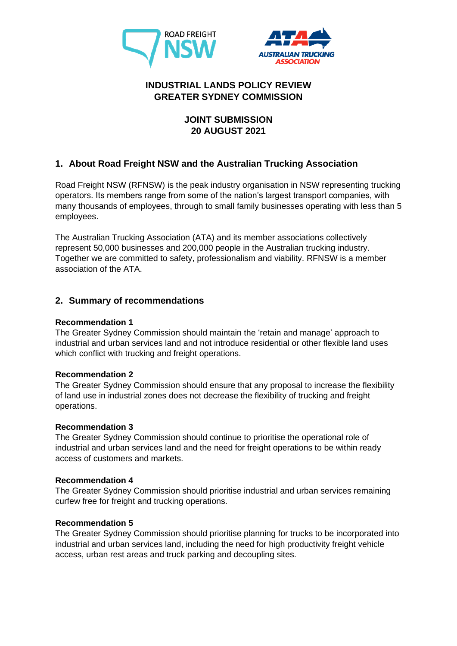



# **INDUSTRIAL LANDS POLICY REVIEW GREATER SYDNEY COMMISSION**

## **JOINT SUBMISSION 20 AUGUST 2021**

# **1. About Road Freight NSW and the Australian Trucking Association**

Road Freight NSW (RFNSW) is the peak industry organisation in NSW representing trucking operators. Its members range from some of the nation's largest transport companies, with many thousands of employees, through to small family businesses operating with less than 5 employees.

The Australian Trucking Association (ATA) and its member associations collectively represent 50,000 businesses and 200,000 people in the Australian trucking industry. Together we are committed to safety, professionalism and viability. RFNSW is a member association of the ATA.

## **2. Summary of recommendations**

### **Recommendation 1**

The Greater Sydney Commission should maintain the 'retain and manage' approach to industrial and urban services land and not introduce residential or other flexible land uses which conflict with trucking and freight operations.

#### **Recommendation 2**

The Greater Sydney Commission should ensure that any proposal to increase the flexibility of land use in industrial zones does not decrease the flexibility of trucking and freight operations.

#### **Recommendation 3**

The Greater Sydney Commission should continue to prioritise the operational role of industrial and urban services land and the need for freight operations to be within ready access of customers and markets.

#### **Recommendation 4**

The Greater Sydney Commission should prioritise industrial and urban services remaining curfew free for freight and trucking operations.

#### **Recommendation 5**

The Greater Sydney Commission should prioritise planning for trucks to be incorporated into industrial and urban services land, including the need for high productivity freight vehicle access, urban rest areas and truck parking and decoupling sites.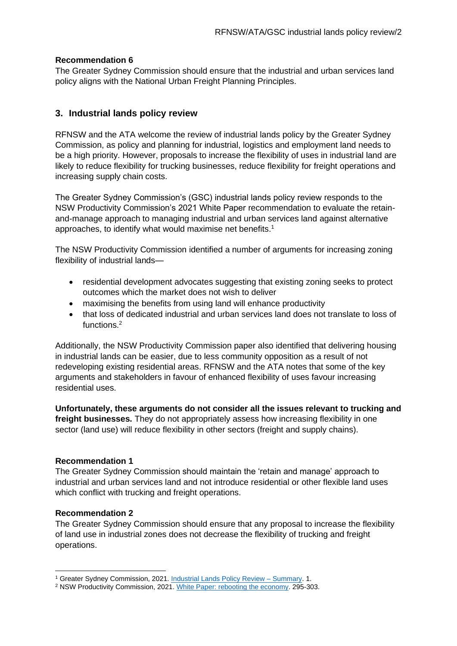### **Recommendation 6**

The Greater Sydney Commission should ensure that the industrial and urban services land policy aligns with the National Urban Freight Planning Principles.

### **3. Industrial lands policy review**

RFNSW and the ATA welcome the review of industrial lands policy by the Greater Sydney Commission, as policy and planning for industrial, logistics and employment land needs to be a high priority. However, proposals to increase the flexibility of uses in industrial land are likely to reduce flexibility for trucking businesses, reduce flexibility for freight operations and increasing supply chain costs.

The Greater Sydney Commission's (GSC) industrial lands policy review responds to the NSW Productivity Commission's 2021 White Paper recommendation to evaluate the retainand-manage approach to managing industrial and urban services land against alternative approaches, to identify what would maximise net benefits.<sup>1</sup>

The NSW Productivity Commission identified a number of arguments for increasing zoning flexibility of industrial lands—

- residential development advocates suggesting that existing zoning seeks to protect outcomes which the market does not wish to deliver
- maximising the benefits from using land will enhance productivity
- that loss of dedicated industrial and urban services land does not translate to loss of functions. 2

Additionally, the NSW Productivity Commission paper also identified that delivering housing in industrial lands can be easier, due to less community opposition as a result of not redeveloping existing residential areas. RFNSW and the ATA notes that some of the key arguments and stakeholders in favour of enhanced flexibility of uses favour increasing residential uses.

**Unfortunately, these arguments do not consider all the issues relevant to trucking and freight businesses.** They do not appropriately assess how increasing flexibility in one sector (land use) will reduce flexibility in other sectors (freight and supply chains).

#### **Recommendation 1**

The Greater Sydney Commission should maintain the 'retain and manage' approach to industrial and urban services land and not introduce residential or other flexible land uses which conflict with trucking and freight operations.

#### **Recommendation 2**

The Greater Sydney Commission should ensure that any proposal to increase the flexibility of land use in industrial zones does not decrease the flexibility of trucking and freight operations.

<sup>1</sup> Greater Sydney Commission, 2021. [Industrial Lands Policy Review –](https://gsc-public-1.s3-ap-southeast-2.amazonaws.com/s3fs-public/IndustrialLands_Summary.pdf) Summary. 1.

<sup>&</sup>lt;sup>2</sup> NSW Productivity Commission, 2021. [White Paper: rebooting the economy.](https://www.productivity.nsw.gov.au/sites/default/files/2021-06/Productivity%20Commission%20White%20Paper%202021.pdf) 295-303.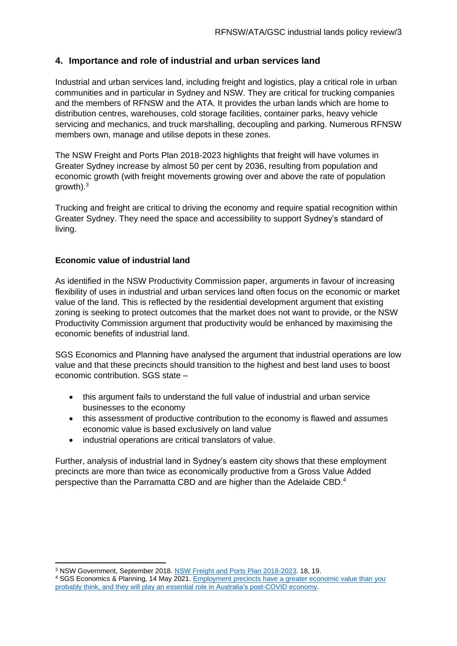## **4. Importance and role of industrial and urban services land**

Industrial and urban services land, including freight and logistics, play a critical role in urban communities and in particular in Sydney and NSW. They are critical for trucking companies and the members of RFNSW and the ATA. It provides the urban lands which are home to distribution centres, warehouses, cold storage facilities, container parks, heavy vehicle servicing and mechanics, and truck marshalling, decoupling and parking. Numerous RFNSW members own, manage and utilise depots in these zones.

The NSW Freight and Ports Plan 2018-2023 highlights that freight will have volumes in Greater Sydney increase by almost 50 per cent by 2036, resulting from population and economic growth (with freight movements growing over and above the rate of population growth). 3

Trucking and freight are critical to driving the economy and require spatial recognition within Greater Sydney. They need the space and accessibility to support Sydney's standard of living.

#### **Economic value of industrial land**

As identified in the NSW Productivity Commission paper, arguments in favour of increasing flexibility of uses in industrial and urban services land often focus on the economic or market value of the land. This is reflected by the residential development argument that existing zoning is seeking to protect outcomes that the market does not want to provide, or the NSW Productivity Commission argument that productivity would be enhanced by maximising the economic benefits of industrial land.

SGS Economics and Planning have analysed the argument that industrial operations are low value and that these precincts should transition to the highest and best land uses to boost economic contribution. SGS state –

- this argument fails to understand the full value of industrial and urban service businesses to the economy
- this assessment of productive contribution to the economy is flawed and assumes economic value is based exclusively on land value
- industrial operations are critical translators of value.

Further, analysis of industrial land in Sydney's eastern city shows that these employment precincts are more than twice as economically productive from a Gross Value Added perspective than the Parramatta CBD and are higher than the Adelaide CBD.<sup>4</sup>

<sup>3</sup> NSW Government, September 2018[. NSW Freight and Ports Plan 2018-2023.](https://www.transport.nsw.gov.au/projects/strategy/nsw-freight-and-ports-plan) 18, 19.

<sup>&</sup>lt;sup>4</sup> SGS Economics & Planning, 14 May 2021. Employment precincts have a greater economic value than you [probably think, and they will play an essential role in Australia's post-COVID economy.](https://www.sgsep.com.au/publications/insights/employment-precincts-have-a-greater-economic-value-than-you-probably-think-and-they-will-play-an-essential-role-in-australias-post-covid-economy)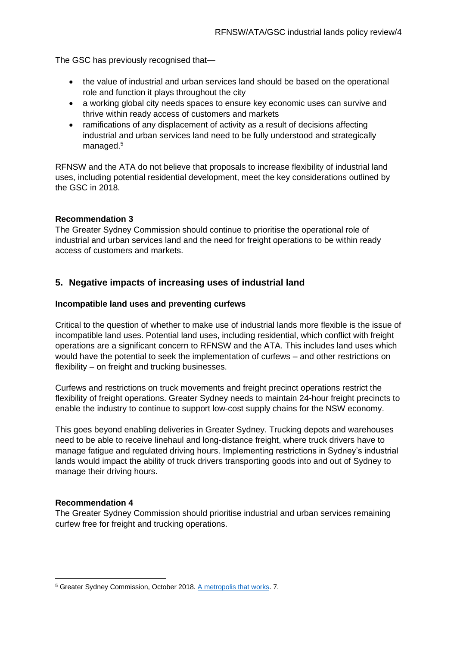The GSC has previously recognised that—

- the value of industrial and urban services land should be based on the operational role and function it plays throughout the city
- a working global city needs spaces to ensure key economic uses can survive and thrive within ready access of customers and markets
- ramifications of any displacement of activity as a result of decisions affecting industrial and urban services land need to be fully understood and strategically managed.<sup>5</sup>

RFNSW and the ATA do not believe that proposals to increase flexibility of industrial land uses, including potential residential development, meet the key considerations outlined by the GSC in 2018.

#### **Recommendation 3**

The Greater Sydney Commission should continue to prioritise the operational role of industrial and urban services land and the need for freight operations to be within ready access of customers and markets.

### **5. Negative impacts of increasing uses of industrial land**

#### **Incompatible land uses and preventing curfews**

Critical to the question of whether to make use of industrial lands more flexible is the issue of incompatible land uses. Potential land uses, including residential, which conflict with freight operations are a significant concern to RFNSW and the ATA. This includes land uses which would have the potential to seek the implementation of curfews – and other restrictions on flexibility – on freight and trucking businesses.

Curfews and restrictions on truck movements and freight precinct operations restrict the flexibility of freight operations. Greater Sydney needs to maintain 24-hour freight precincts to enable the industry to continue to support low-cost supply chains for the NSW economy.

This goes beyond enabling deliveries in Greater Sydney. Trucking depots and warehouses need to be able to receive linehaul and long-distance freight, where truck drivers have to manage fatigue and regulated driving hours. Implementing restrictions in Sydney's industrial lands would impact the ability of truck drivers transporting goods into and out of Sydney to manage their driving hours.

#### **Recommendation 4**

The Greater Sydney Commission should prioritise industrial and urban services remaining curfew free for freight and trucking operations.

<sup>5</sup> Greater Sydney Commission, October 2018. [A metropolis that works.](https://gsc-public-1.s3.amazonaws.com/s3fs-public/gsc-thought-leadership-tlp2018-1-metropolis-that-works-181023.pdf) 7.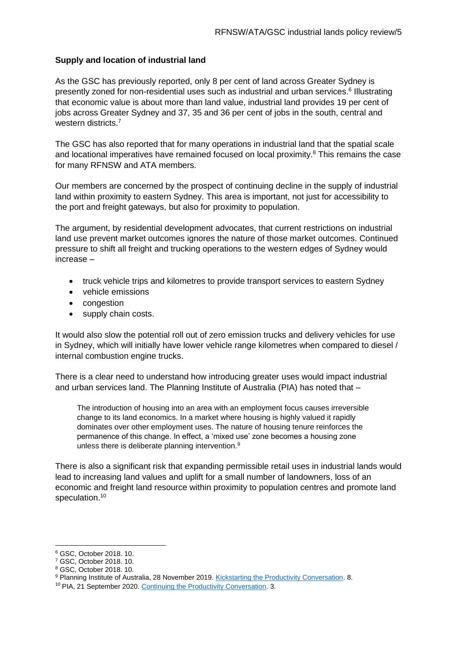#### **Supply and location of industrial land**

As the GSC has previously reported, only 8 per cent of land across Greater Sydney is presently zoned for non-residential uses such as industrial and urban services.<sup>6</sup> Illustrating that economic value is about more than land value, industrial land provides 19 per cent of jobs across Greater Sydney and 37, 35 and 36 per cent of jobs in the south, central and western districts.<sup>7</sup>

The GSC has also reported that for many operations in industrial land that the spatial scale and locational imperatives have remained focused on local proximity.<sup>8</sup> This remains the case for many RFNSW and ATA members.

Our members are concerned by the prospect of continuing decline in the supply of industrial land within proximity to eastern Sydney. This area is important, not just for accessibility to the port and freight gateways, but also for proximity to population.

The argument, by residential development advocates, that current restrictions on industrial land use prevent market outcomes ignores the nature of those market outcomes. Continued pressure to shift all freight and trucking operations to the western edges of Sydney would increase –

- truck vehicle trips and kilometres to provide transport services to eastern Sydney
- vehicle emissions
- congestion
- supply chain costs.

It would also slow the potential roll out of zero emission trucks and delivery vehicles for use in Sydney, which will initially have lower vehicle range kilometres when compared to diesel / internal combustion engine trucks.

There is a clear need to understand how introducing greater uses would impact industrial and urban services land. The Planning Institute of Australia (PIA) has noted that –

The introduction of housing into an area with an employment focus causes irreversible change to its land economics. In a market where housing is highly valued it rapidly dominates over other employment uses. The nature of housing tenure reinforces the permanence of this change. In effect, a 'mixed use' zone becomes a housing zone unless there is deliberate planning intervention.<sup>9</sup>

There is also a significant risk that expanding permissible retail uses in industrial lands would lead to increasing land values and uplift for a small number of landowners, loss of an economic and freight land resource within proximity to population centres and promote land speculation.<sup>10</sup>

<sup>6</sup> GSC, October 2018. 10.

<sup>7</sup> GSC, October 2018. 10.

<sup>8</sup> GSC, October 2018. 10.

<sup>9</sup> Planning Institute of Australia, 28 November 2019. [Kickstarting the Productivity Conversation.](https://www.planning.org.au/documents/item/10356) 8.

<sup>&</sup>lt;sup>10</sup> PIA, 21 September 2020. [Continuing the Productivity Conversation.](https://www.planning.org.au/documents/item/10905) 3.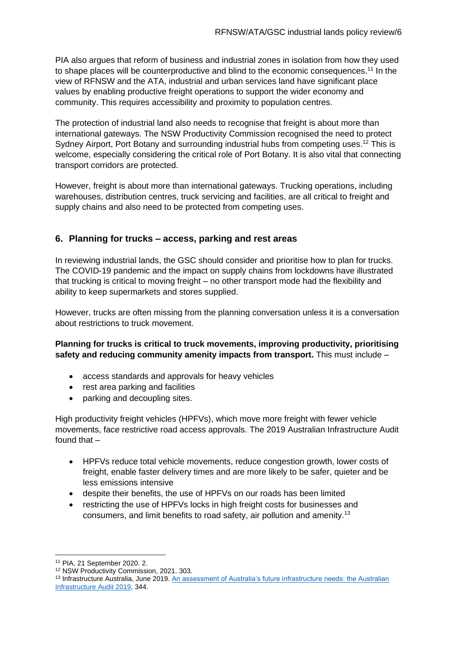PIA also argues that reform of business and industrial zones in isolation from how they used to shape places will be counterproductive and blind to the economic consequences.<sup>11</sup> In the view of RFNSW and the ATA, industrial and urban services land have significant place values by enabling productive freight operations to support the wider economy and community. This requires accessibility and proximity to population centres.

The protection of industrial land also needs to recognise that freight is about more than international gateways. The NSW Productivity Commission recognised the need to protect Sydney Airport, Port Botany and surrounding industrial hubs from competing uses.<sup>12</sup> This is welcome, especially considering the critical role of Port Botany. It is also vital that connecting transport corridors are protected.

However, freight is about more than international gateways. Trucking operations, including warehouses, distribution centres, truck servicing and facilities, are all critical to freight and supply chains and also need to be protected from competing uses.

# **6. Planning for trucks – access, parking and rest areas**

In reviewing industrial lands, the GSC should consider and prioritise how to plan for trucks. The COVID-19 pandemic and the impact on supply chains from lockdowns have illustrated that trucking is critical to moving freight – no other transport mode had the flexibility and ability to keep supermarkets and stores supplied.

However, trucks are often missing from the planning conversation unless it is a conversation about restrictions to truck movement.

### **Planning for trucks is critical to truck movements, improving productivity, prioritising safety and reducing community amenity impacts from transport.** This must include –

- access standards and approvals for heavy vehicles
- rest area parking and facilities
- parking and decoupling sites.

High productivity freight vehicles (HPFVs), which move more freight with fewer vehicle movements, face restrictive road access approvals. The 2019 Australian Infrastructure Audit found that –

- HPFVs reduce total vehicle movements, reduce congestion growth, lower costs of freight, enable faster delivery times and are more likely to be safer, quieter and be less emissions intensive
- despite their benefits, the use of HPFVs on our roads has been limited
- restricting the use of HPFVs locks in high freight costs for businesses and consumers, and limit benefits to road safety, air pollution and amenity.<sup>13</sup>

<sup>11</sup> PIA, 21 September 2020. 2.

<sup>12</sup> NSW Productivity Commission, 2021. 303.

<sup>13</sup> Infrastructure Australia, June 2019. [An assessment of Australia's future infrastructure needs: the Australian](https://www.infrastructureaustralia.gov.au/publications/australian-infrastructure-audit-2019)  [Infrastructure](https://www.infrastructureaustralia.gov.au/publications/australian-infrastructure-audit-2019) Audit 2019, 344.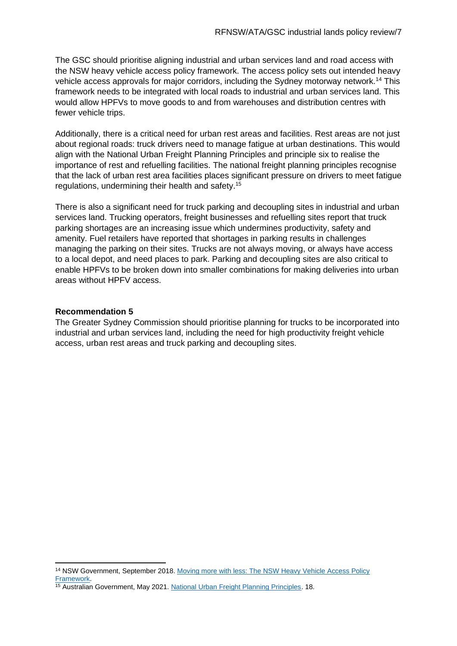The GSC should prioritise aligning industrial and urban services land and road access with the NSW heavy vehicle access policy framework. The access policy sets out intended heavy vehicle access approvals for major corridors, including the Sydney motorway network.<sup>14</sup> This framework needs to be integrated with local roads to industrial and urban services land. This would allow HPFVs to move goods to and from warehouses and distribution centres with fewer vehicle trips.

Additionally, there is a critical need for urban rest areas and facilities. Rest areas are not just about regional roads: truck drivers need to manage fatigue at urban destinations. This would align with the National Urban Freight Planning Principles and principle six to realise the importance of rest and refuelling facilities. The national freight planning principles recognise that the lack of urban rest area facilities places significant pressure on drivers to meet fatigue regulations, undermining their health and safety.<sup>15</sup>

There is also a significant need for truck parking and decoupling sites in industrial and urban services land. Trucking operators, freight businesses and refuelling sites report that truck parking shortages are an increasing issue which undermines productivity, safety and amenity. Fuel retailers have reported that shortages in parking results in challenges managing the parking on their sites. Trucks are not always moving, or always have access to a local depot, and need places to park. Parking and decoupling sites are also critical to enable HPFVs to be broken down into smaller combinations for making deliveries into urban areas without HPFV access.

#### **Recommendation 5**

The Greater Sydney Commission should prioritise planning for trucks to be incorporated into industrial and urban services land, including the need for high productivity freight vehicle access, urban rest areas and truck parking and decoupling sites.

<sup>&</sup>lt;sup>14</sup> NSW Government, September 2018. Moving more with less: The NSW Heavy Vehicle Access Policy [Framework.](https://www.transport.nsw.gov.au/operations/freight-hub/heavy-vehicle-access-policy-framework)

<sup>15</sup> Australian Government, May 2021[. National Urban Freight Planning Principles.](https://www.freightaustralia.gov.au/sites/default/files/documents/urban-freight-planning-principles.pdf) 18.